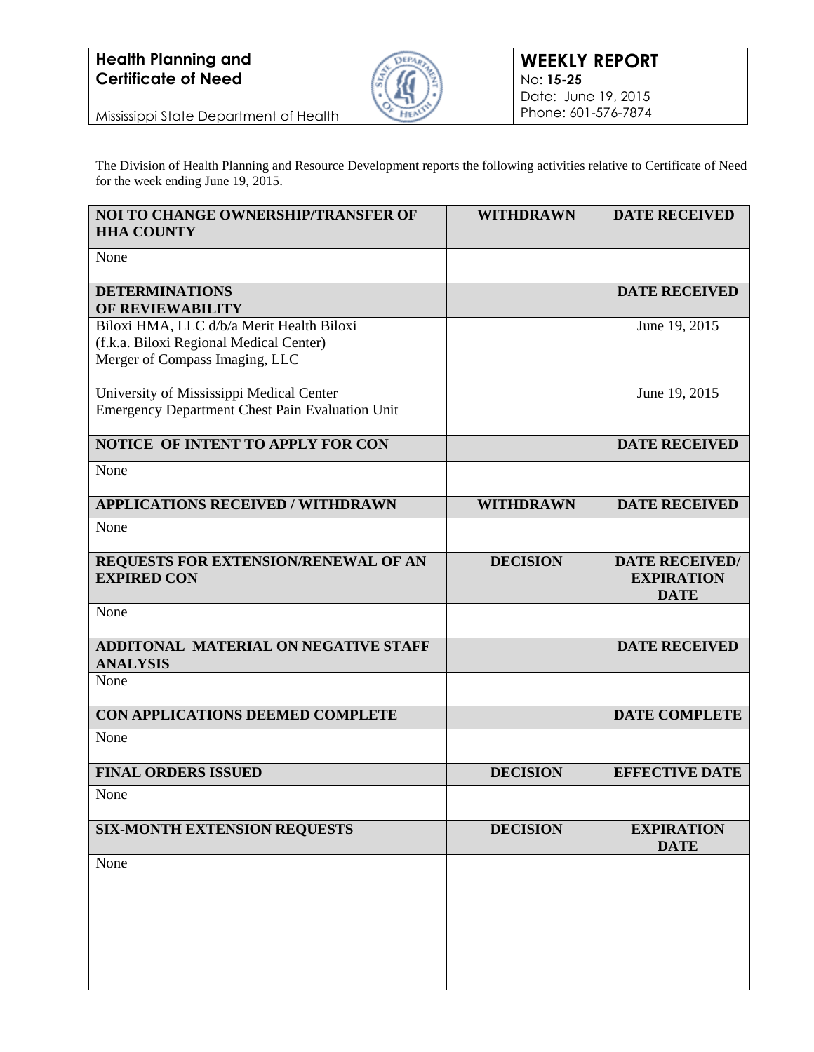

Mississippi State Department of Health

The Division of Health Planning and Resource Development reports the following activities relative to Certificate of Need for the week ending June 19, 2015.

| NOI TO CHANGE OWNERSHIP/TRANSFER OF<br><b>HHA COUNTY</b>                                                               | <b>WITHDRAWN</b> | <b>DATE RECEIVED</b>                                      |
|------------------------------------------------------------------------------------------------------------------------|------------------|-----------------------------------------------------------|
| None                                                                                                                   |                  |                                                           |
| <b>DETERMINATIONS</b><br>OF REVIEWABILITY                                                                              |                  | <b>DATE RECEIVED</b>                                      |
| Biloxi HMA, LLC d/b/a Merit Health Biloxi<br>(f.k.a. Biloxi Regional Medical Center)<br>Merger of Compass Imaging, LLC |                  | June 19, 2015                                             |
| University of Mississippi Medical Center<br><b>Emergency Department Chest Pain Evaluation Unit</b>                     |                  | June 19, 2015                                             |
| NOTICE OF INTENT TO APPLY FOR CON                                                                                      |                  | <b>DATE RECEIVED</b>                                      |
| None                                                                                                                   |                  |                                                           |
| <b>APPLICATIONS RECEIVED / WITHDRAWN</b>                                                                               | <b>WITHDRAWN</b> | <b>DATE RECEIVED</b>                                      |
| None                                                                                                                   |                  |                                                           |
| REQUESTS FOR EXTENSION/RENEWAL OF AN<br><b>EXPIRED CON</b>                                                             | <b>DECISION</b>  | <b>DATE RECEIVED/</b><br><b>EXPIRATION</b><br><b>DATE</b> |
| None                                                                                                                   |                  |                                                           |
| <b>ADDITONAL MATERIAL ON NEGATIVE STAFF</b><br><b>ANALYSIS</b>                                                         |                  | <b>DATE RECEIVED</b>                                      |
| None                                                                                                                   |                  |                                                           |
| CON APPLICATIONS DEEMED COMPLETE                                                                                       |                  | <b>DATE COMPLETE</b>                                      |
| None                                                                                                                   |                  |                                                           |
| <b>FINAL ORDERS ISSUED</b>                                                                                             | <b>DECISION</b>  | <b>EFFECTIVE DATE</b>                                     |
| None                                                                                                                   |                  |                                                           |
| <b>SIX-MONTH EXTENSION REQUESTS</b>                                                                                    | <b>DECISION</b>  | <b>EXPIRATION</b><br><b>DATE</b>                          |
| None                                                                                                                   |                  |                                                           |
|                                                                                                                        |                  |                                                           |
|                                                                                                                        |                  |                                                           |
|                                                                                                                        |                  |                                                           |
|                                                                                                                        |                  |                                                           |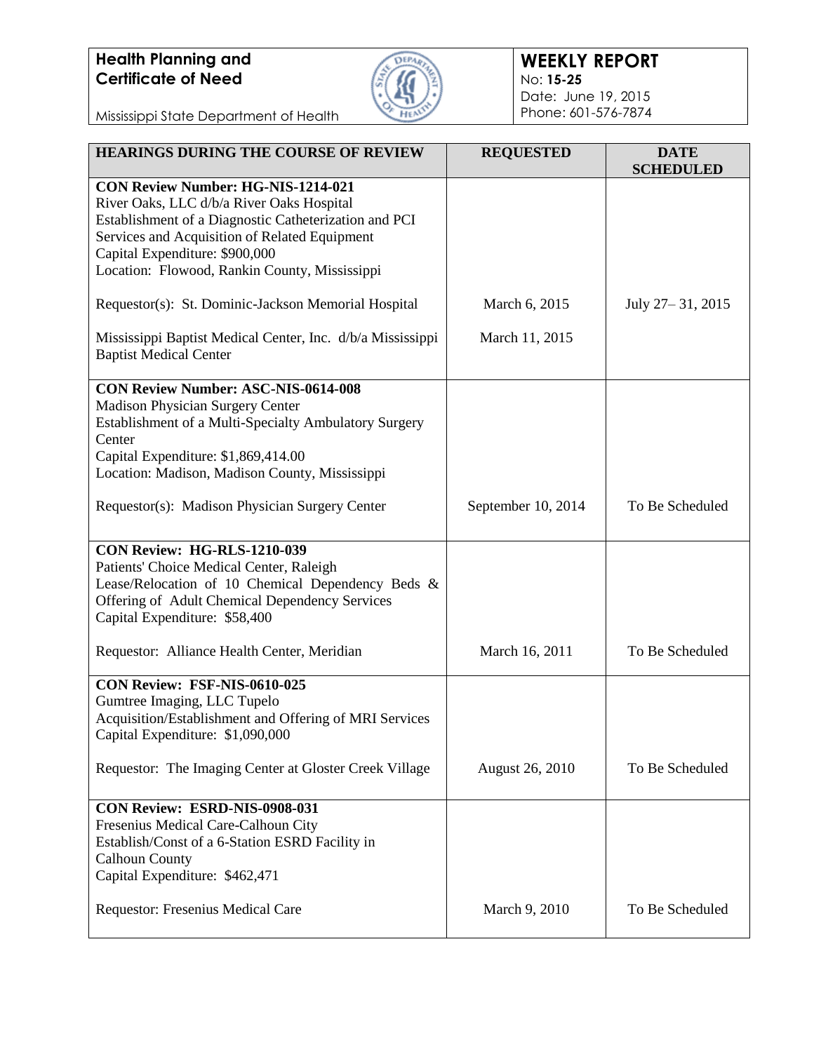

#### **WEEKLY REPORT** No: **15-25** Date: June 19, 2015 Phone: 601-576-7874

Mississippi State Department of Health

| <b>HEARINGS DURING THE COURSE OF REVIEW</b>                                                                                                                                                                                                                                  | <b>REQUESTED</b>       | <b>DATE</b><br><b>SCHEDULED</b> |
|------------------------------------------------------------------------------------------------------------------------------------------------------------------------------------------------------------------------------------------------------------------------------|------------------------|---------------------------------|
| CON Review Number: HG-NIS-1214-021<br>River Oaks, LLC d/b/a River Oaks Hospital<br>Establishment of a Diagnostic Catheterization and PCI<br>Services and Acquisition of Related Equipment<br>Capital Expenditure: \$900,000<br>Location: Flowood, Rankin County, Mississippi |                        |                                 |
| Requestor(s): St. Dominic-Jackson Memorial Hospital                                                                                                                                                                                                                          | March 6, 2015          | July 27 – 31, 2015              |
| Mississippi Baptist Medical Center, Inc. d/b/a Mississippi<br><b>Baptist Medical Center</b>                                                                                                                                                                                  | March 11, 2015         |                                 |
| <b>CON Review Number: ASC-NIS-0614-008</b><br>Madison Physician Surgery Center<br>Establishment of a Multi-Specialty Ambulatory Surgery<br>Center<br>Capital Expenditure: \$1,869,414.00<br>Location: Madison, Madison County, Mississippi                                   |                        |                                 |
| Requestor(s): Madison Physician Surgery Center                                                                                                                                                                                                                               | September 10, 2014     | To Be Scheduled                 |
| <b>CON Review: HG-RLS-1210-039</b><br>Patients' Choice Medical Center, Raleigh<br>Lease/Relocation of 10 Chemical Dependency Beds &<br>Offering of Adult Chemical Dependency Services<br>Capital Expenditure: \$58,400                                                       |                        |                                 |
| Requestor: Alliance Health Center, Meridian                                                                                                                                                                                                                                  | March 16, 2011         | To Be Scheduled                 |
| CON Review: FSF-NIS-0610-025<br>Gumtree Imaging, LLC Tupelo<br>Acquisition/Establishment and Offering of MRI Services<br>Capital Expenditure: \$1,090,000                                                                                                                    |                        |                                 |
| Requestor: The Imaging Center at Gloster Creek Village                                                                                                                                                                                                                       | <b>August 26, 2010</b> | To Be Scheduled                 |
| CON Review: ESRD-NIS-0908-031<br>Fresenius Medical Care-Calhoun City<br>Establish/Const of a 6-Station ESRD Facility in<br><b>Calhoun County</b><br>Capital Expenditure: \$462,471                                                                                           |                        |                                 |
| Requestor: Fresenius Medical Care                                                                                                                                                                                                                                            | March 9, 2010          | To Be Scheduled                 |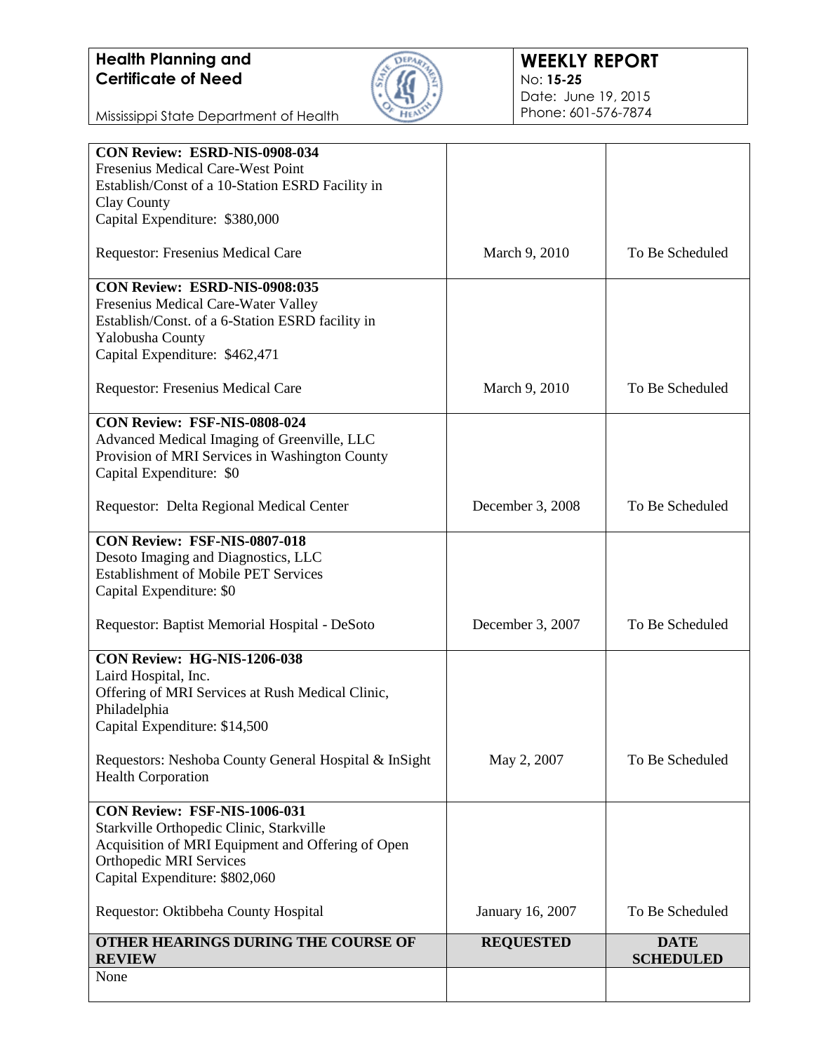

Mississippi State Department of Health

| CON Review: ESRD-NIS-0908-034                         |                  |                                 |
|-------------------------------------------------------|------------------|---------------------------------|
| Fresenius Medical Care-West Point                     |                  |                                 |
| Establish/Const of a 10-Station ESRD Facility in      |                  |                                 |
| Clay County                                           |                  |                                 |
| Capital Expenditure: \$380,000                        |                  |                                 |
| Requestor: Fresenius Medical Care                     | March 9, 2010    | To Be Scheduled                 |
| CON Review: ESRD-NIS-0908:035                         |                  |                                 |
| Fresenius Medical Care-Water Valley                   |                  |                                 |
| Establish/Const. of a 6-Station ESRD facility in      |                  |                                 |
| Yalobusha County                                      |                  |                                 |
| Capital Expenditure: \$462,471                        |                  |                                 |
| Requestor: Fresenius Medical Care                     | March 9, 2010    | To Be Scheduled                 |
| CON Review: FSF-NIS-0808-024                          |                  |                                 |
| Advanced Medical Imaging of Greenville, LLC           |                  |                                 |
| Provision of MRI Services in Washington County        |                  |                                 |
| Capital Expenditure: \$0                              |                  |                                 |
| Requestor: Delta Regional Medical Center              | December 3, 2008 | To Be Scheduled                 |
|                                                       |                  |                                 |
| CON Review: FSF-NIS-0807-018                          |                  |                                 |
| Desoto Imaging and Diagnostics, LLC                   |                  |                                 |
| <b>Establishment of Mobile PET Services</b>           |                  |                                 |
| Capital Expenditure: \$0                              |                  |                                 |
| Requestor: Baptist Memorial Hospital - DeSoto         | December 3, 2007 | To Be Scheduled                 |
| CON Review: HG-NIS-1206-038                           |                  |                                 |
| Laird Hospital, Inc.                                  |                  |                                 |
| Offering of MRI Services at Rush Medical Clinic,      |                  |                                 |
| Philadelphia                                          |                  |                                 |
| Capital Expenditure: \$14,500                         |                  |                                 |
| Requestors: Neshoba County General Hospital & InSight | May 2, 2007      | To Be Scheduled                 |
| <b>Health Corporation</b>                             |                  |                                 |
| CON Review: FSF-NIS-1006-031                          |                  |                                 |
| Starkville Orthopedic Clinic, Starkville              |                  |                                 |
| Acquisition of MRI Equipment and Offering of Open     |                  |                                 |
| <b>Orthopedic MRI Services</b>                        |                  |                                 |
| Capital Expenditure: \$802,060                        |                  |                                 |
|                                                       |                  |                                 |
| Requestor: Oktibbeha County Hospital                  | January 16, 2007 | To Be Scheduled                 |
| OTHER HEARINGS DURING THE COURSE OF<br><b>REVIEW</b>  | <b>REQUESTED</b> | <b>DATE</b><br><b>SCHEDULED</b> |
| None                                                  |                  |                                 |
|                                                       |                  |                                 |